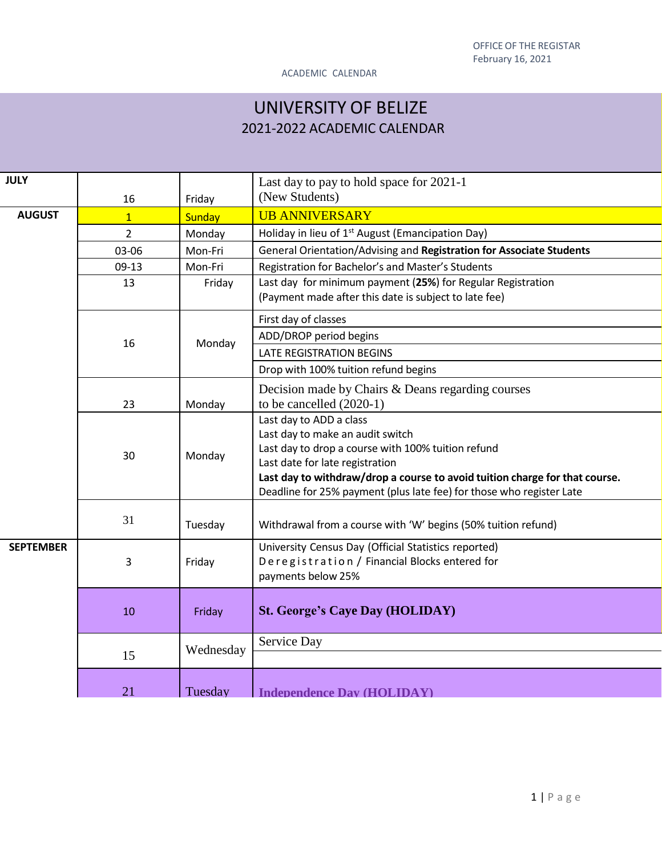# UNIVERSITY OF BELIZE 2021-2022 ACADEMIC CALENDAR

| <b>JULY</b>      |                |               | Last day to pay to hold space for 2021-1<br>(New Students)                                                                                                                                                                                                                                                  |  |
|------------------|----------------|---------------|-------------------------------------------------------------------------------------------------------------------------------------------------------------------------------------------------------------------------------------------------------------------------------------------------------------|--|
|                  | 16             | Friday        |                                                                                                                                                                                                                                                                                                             |  |
| <b>AUGUST</b>    | $\overline{1}$ | <b>Sunday</b> | <b>UB ANNIVERSARY</b>                                                                                                                                                                                                                                                                                       |  |
|                  | 2              | Monday        | Holiday in lieu of 1 <sup>st</sup> August (Emancipation Day)                                                                                                                                                                                                                                                |  |
|                  | 03-06          | Mon-Fri       | General Orientation/Advising and Registration for Associate Students                                                                                                                                                                                                                                        |  |
|                  | $09-13$        | Mon-Fri       | Registration for Bachelor's and Master's Students                                                                                                                                                                                                                                                           |  |
|                  | 13             | Friday        | Last day for minimum payment (25%) for Regular Registration<br>(Payment made after this date is subject to late fee)                                                                                                                                                                                        |  |
|                  |                |               |                                                                                                                                                                                                                                                                                                             |  |
|                  |                | Monday        | First day of classes                                                                                                                                                                                                                                                                                        |  |
|                  | 16             |               | ADD/DROP period begins                                                                                                                                                                                                                                                                                      |  |
|                  |                |               | <b>LATE REGISTRATION BEGINS</b>                                                                                                                                                                                                                                                                             |  |
|                  |                |               | Drop with 100% tuition refund begins                                                                                                                                                                                                                                                                        |  |
|                  |                |               | Decision made by Chairs & Deans regarding courses                                                                                                                                                                                                                                                           |  |
|                  | 23             | Monday        | to be cancelled $(2020-1)$                                                                                                                                                                                                                                                                                  |  |
|                  | 30             | Monday        | Last day to ADD a class<br>Last day to make an audit switch<br>Last day to drop a course with 100% tuition refund<br>Last date for late registration<br>Last day to withdraw/drop a course to avoid tuition charge for that course.<br>Deadline for 25% payment (plus late fee) for those who register Late |  |
|                  | 31             | Tuesday       | Withdrawal from a course with 'W' begins (50% tuition refund)                                                                                                                                                                                                                                               |  |
| <b>SEPTEMBER</b> | 3              | Friday        | University Census Day (Official Statistics reported)<br>Deregistration / Financial Blocks entered for<br>payments below 25%                                                                                                                                                                                 |  |
|                  | 10             | Friday        | <b>St. George's Caye Day (HOLIDAY)</b>                                                                                                                                                                                                                                                                      |  |
|                  | 15             | Wednesday     | Service Day                                                                                                                                                                                                                                                                                                 |  |
|                  | 21             | Tuesday       | <b>Independence Day (HOLIDAY)</b>                                                                                                                                                                                                                                                                           |  |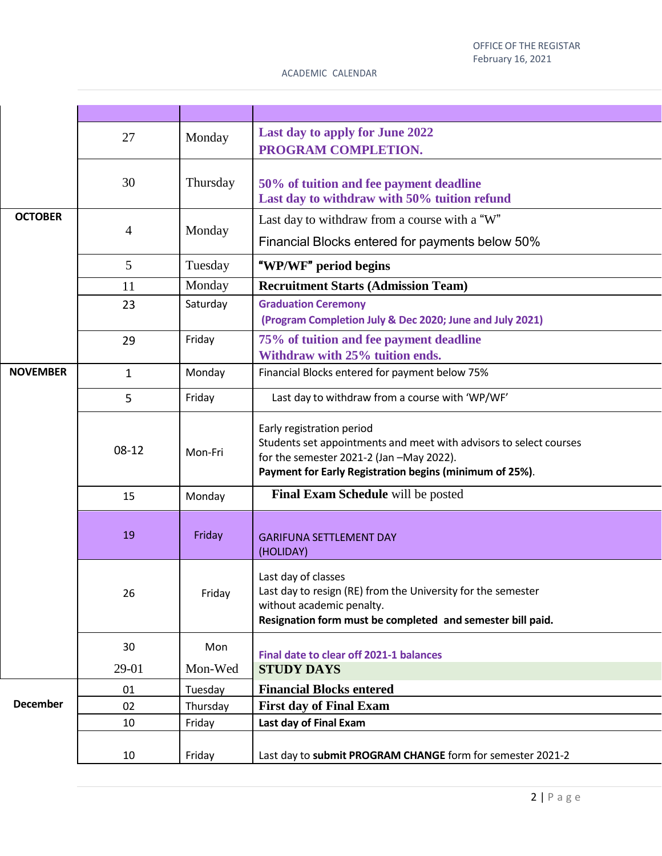|                 | 27           | Monday   | Last day to apply for June 2022<br>PROGRAM COMPLETION.                                                                                                                                                 |
|-----------------|--------------|----------|--------------------------------------------------------------------------------------------------------------------------------------------------------------------------------------------------------|
|                 | 30           | Thursday | 50% of tuition and fee payment deadline<br>Last day to withdraw with 50% tuition refund                                                                                                                |
| <b>OCTOBER</b>  | 4            | Monday   | Last day to withdraw from a course with a "W"<br>Financial Blocks entered for payments below 50%                                                                                                       |
|                 | 5            | Tuesday  | "WP/WF" period begins                                                                                                                                                                                  |
|                 | 11           | Monday   | <b>Recruitment Starts (Admission Team)</b>                                                                                                                                                             |
|                 | 23           | Saturday | <b>Graduation Ceremony</b><br>(Program Completion July & Dec 2020; June and July 2021)                                                                                                                 |
|                 | 29           | Friday   | 75% of tuition and fee payment deadline<br>Withdraw with 25% tuition ends.                                                                                                                             |
| <b>NOVEMBER</b> | $\mathbf{1}$ | Monday   | Financial Blocks entered for payment below 75%                                                                                                                                                         |
|                 | 5            | Friday   | Last day to withdraw from a course with 'WP/WF'                                                                                                                                                        |
|                 | $08-12$      | Mon-Fri  | Early registration period<br>Students set appointments and meet with advisors to select courses<br>for the semester 2021-2 (Jan -May 2022).<br>Payment for Early Registration begins (minimum of 25%). |
|                 | 15           | Monday   | Final Exam Schedule will be posted                                                                                                                                                                     |
|                 | 19           | Friday   | <b>GARIFUNA SETTLEMENT DAY</b><br>(HOLIDAY)                                                                                                                                                            |
|                 | 26           | Friday   | Last day of classes<br>Last day to resign (RE) from the University for the semester<br>without academic penalty.<br>Resignation form must be completed and semester bill paid.                         |
|                 | 30           | Mon      |                                                                                                                                                                                                        |
|                 | 29-01        | Mon-Wed  | Final date to clear off 2021-1 balances<br><b>STUDY DAYS</b>                                                                                                                                           |
|                 | 01           | Tuesday  | <b>Financial Blocks entered</b>                                                                                                                                                                        |
| <b>December</b> | 02           | Thursday | <b>First day of Final Exam</b>                                                                                                                                                                         |
|                 | 10           | Friday   | Last day of Final Exam                                                                                                                                                                                 |
|                 | 10           | Friday   | Last day to submit PROGRAM CHANGE form for semester 2021-2                                                                                                                                             |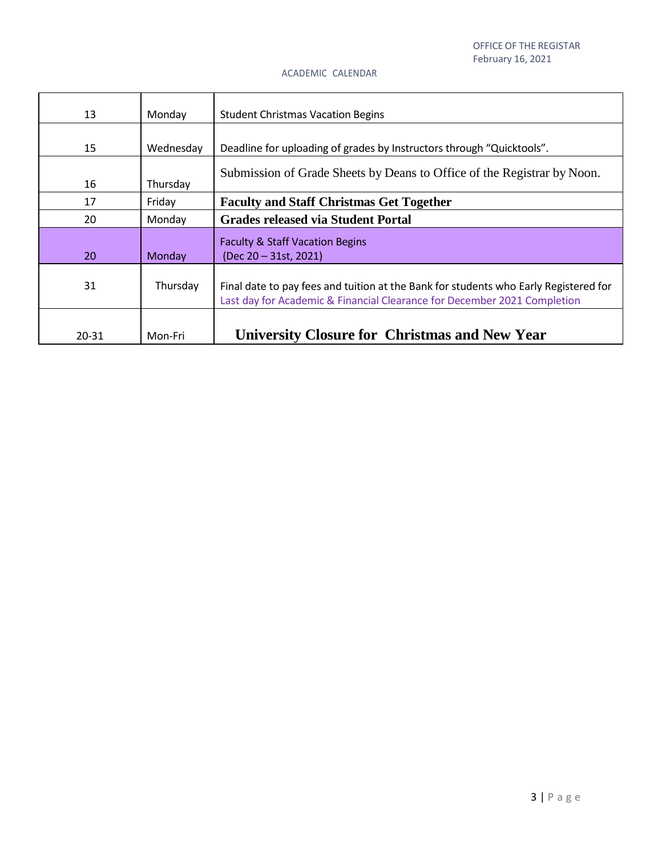| 13    | Monday    | <b>Student Christmas Vacation Begins</b>                                                                                                                         |
|-------|-----------|------------------------------------------------------------------------------------------------------------------------------------------------------------------|
|       |           |                                                                                                                                                                  |
| 15    | Wednesday | Deadline for uploading of grades by Instructors through "Quicktools".                                                                                            |
| 16    | Thursday  | Submission of Grade Sheets by Deans to Office of the Registrar by Noon.                                                                                          |
| 17    | Friday    | <b>Faculty and Staff Christmas Get Together</b>                                                                                                                  |
| 20    | Monday    | <b>Grades released via Student Portal</b>                                                                                                                        |
| 20    | Monday    | <b>Faculty &amp; Staff Vacation Begins</b><br>(Dec 20 - 31st, 2021)                                                                                              |
| 31    | Thursday  | Final date to pay fees and tuition at the Bank for students who Early Registered for<br>Last day for Academic & Financial Clearance for December 2021 Completion |
| 20-31 | Mon-Fri   | <b>University Closure for Christmas and New Year</b>                                                                                                             |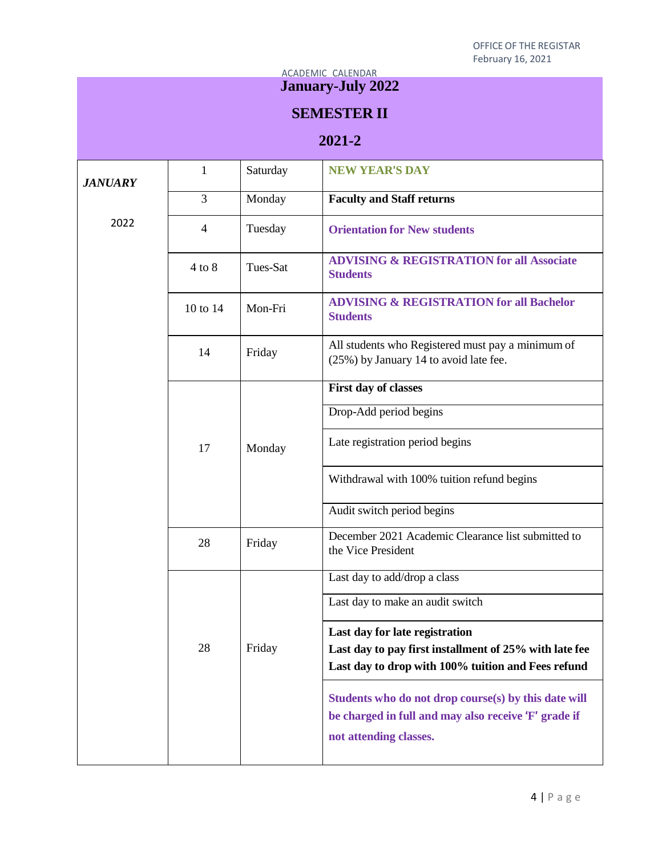#### ACADEMIC CALENDAR **January-July 2022**

# **SEMESTER II**

# **2021-2**

| <b>JANUARY</b> | 1              | Saturday | <b>NEW YEAR'S DAY</b>                                                                                                                  |
|----------------|----------------|----------|----------------------------------------------------------------------------------------------------------------------------------------|
|                | $\overline{3}$ | Monday   | <b>Faculty and Staff returns</b>                                                                                                       |
| 2022           | $\overline{4}$ | Tuesday  | <b>Orientation for New students</b>                                                                                                    |
|                | $4$ to $8$     | Tues-Sat | <b>ADVISING &amp; REGISTRATION for all Associate</b><br><b>Students</b>                                                                |
|                | 10 to 14       | Mon-Fri  | <b>ADVISING &amp; REGISTRATION for all Bachelor</b><br><b>Students</b>                                                                 |
|                | 14             | Friday   | All students who Registered must pay a minimum of<br>(25%) by January 14 to avoid late fee.                                            |
|                |                |          | First day of classes                                                                                                                   |
|                |                |          | Drop-Add period begins                                                                                                                 |
|                | 17             | Monday   | Late registration period begins                                                                                                        |
|                |                |          | Withdrawal with 100% tuition refund begins                                                                                             |
|                |                |          | Audit switch period begins                                                                                                             |
|                | 28             | Friday   | December 2021 Academic Clearance list submitted to<br>the Vice President                                                               |
|                | 28             | Friday   | Last day to add/drop a class                                                                                                           |
|                |                |          | Last day to make an audit switch                                                                                                       |
|                |                |          | Last day for late registration                                                                                                         |
|                |                |          | Last day to pay first installment of 25% with late fee                                                                                 |
|                |                |          | Last day to drop with 100% tuition and Fees refund                                                                                     |
|                |                |          | Students who do not drop course(s) by this date will<br>be charged in full and may also receive 'F' grade if<br>not attending classes. |
|                |                |          |                                                                                                                                        |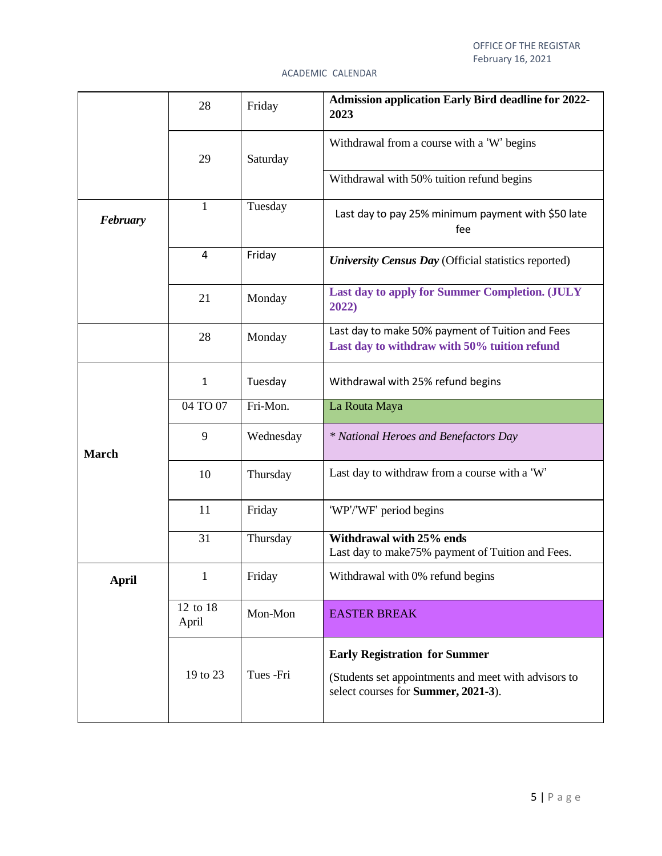|              | 28                | Friday    | <b>Admission application Early Bird deadline for 2022-</b><br>2023                                                                  |
|--------------|-------------------|-----------|-------------------------------------------------------------------------------------------------------------------------------------|
|              | 29                | Saturday  | Withdrawal from a course with a 'W' begins                                                                                          |
|              |                   |           | Withdrawal with 50% tuition refund begins                                                                                           |
| February     | 1                 | Tuesday   | Last day to pay 25% minimum payment with \$50 late<br>fee                                                                           |
|              | 4                 | Friday    | University Census Day (Official statistics reported)                                                                                |
|              | 21                | Monday    | Last day to apply for Summer Completion. (JULY<br>2022)                                                                             |
|              | 28                | Monday    | Last day to make 50% payment of Tuition and Fees<br>Last day to withdraw with 50% tuition refund                                    |
|              | $\mathbf{1}$      | Tuesday   | Withdrawal with 25% refund begins                                                                                                   |
|              | 04 TO 07          | Fri-Mon.  | La Routa Maya                                                                                                                       |
| <b>March</b> | 9                 | Wednesday | * National Heroes and Benefactors Day                                                                                               |
|              | 10                | Thursday  | Last day to withdraw from a course with a 'W'                                                                                       |
|              | 11                | Friday    | 'WP'/'WF' period begins                                                                                                             |
|              | 31                | Thursday  | Withdrawal with 25% ends<br>Last day to make 75% payment of Tuition and Fees.                                                       |
| <b>April</b> | $\mathbf{1}$      | Friday    | Withdrawal with 0% refund begins                                                                                                    |
|              | 12 to 18<br>April | Mon-Mon   | <b>EASTER BREAK</b>                                                                                                                 |
|              | 19 to 23          | Tues -Fri | <b>Early Registration for Summer</b><br>(Students set appointments and meet with advisors to<br>select courses for Summer, 2021-3). |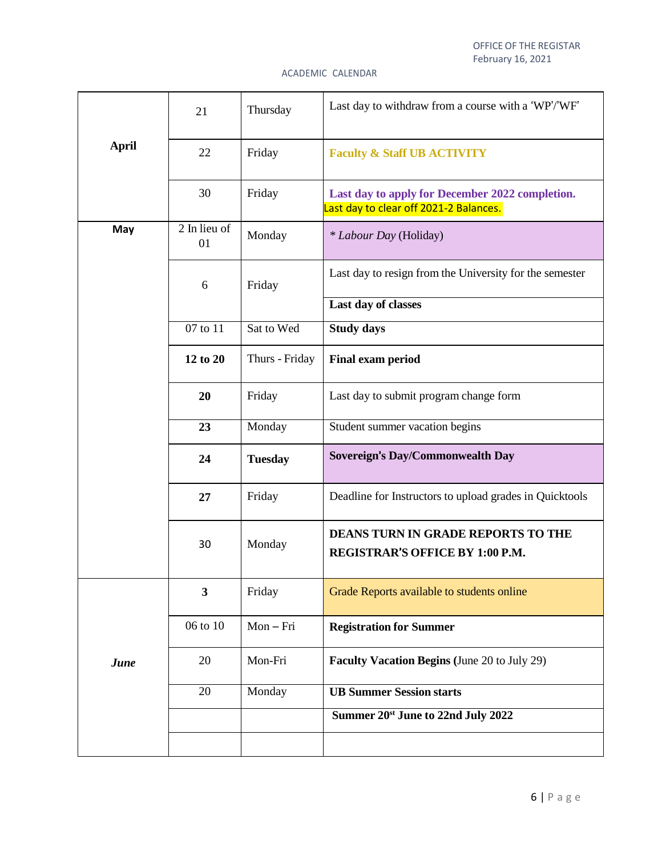|              | 21                 | Thursday       | Last day to withdraw from a course with a 'WP'/'WF'                                       |
|--------------|--------------------|----------------|-------------------------------------------------------------------------------------------|
| <b>April</b> | 22                 | Friday         | <b>Faculty &amp; Staff UB ACTIVITY</b>                                                    |
|              | 30                 | Friday         | Last day to apply for December 2022 completion.<br>Last day to clear off 2021-2 Balances. |
| May          | 2 In lieu of<br>01 | Monday         | * Labour Day (Holiday)                                                                    |
|              | 6                  | Friday         | Last day to resign from the University for the semester                                   |
|              |                    |                | Last day of classes                                                                       |
|              | 07 to 11           | Sat to Wed     | <b>Study days</b>                                                                         |
|              | 12 to 20           | Thurs - Friday | <b>Final exam period</b>                                                                  |
|              | 20                 | Friday         | Last day to submit program change form                                                    |
|              | 23                 | Monday         | Student summer vacation begins                                                            |
|              | 24                 | <b>Tuesday</b> | Sovereign's Day/Commonwealth Day                                                          |
|              | 27                 | Friday         | Deadline for Instructors to upload grades in Quicktools                                   |
|              | 30                 | Monday         | <b>DEANS TURN IN GRADE REPORTS TO THE</b><br><b>REGISTRAR'S OFFICE BY 1:00 P.M.</b>       |
|              | $\mathbf{3}$       | Friday         | Grade Reports available to students online                                                |
|              | 06 to 10           | $Mon-Fri$      | <b>Registration for Summer</b>                                                            |
| June         | 20                 | Mon-Fri        | <b>Faculty Vacation Begins (June 20 to July 29)</b>                                       |
|              | 20                 | Monday         | <b>UB Summer Session starts</b>                                                           |
|              |                    |                | Summer 20 <sup>st</sup> June to 22nd July 2022                                            |
|              |                    |                |                                                                                           |